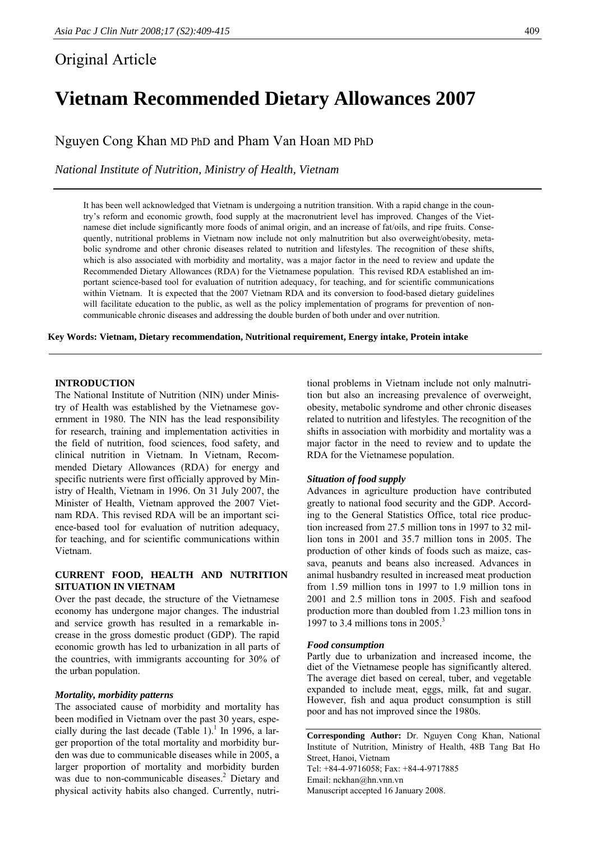# Original Article

# **Vietnam Recommended Dietary Allowances 2007**

Nguyen Cong Khan MD PhD and Pham Van Hoan MD PhD

*National Institute of Nutrition, Ministry of Health, Vietnam* 

It has been well acknowledged that Vietnam is undergoing a nutrition transition. With a rapid change in the country's reform and economic growth, food supply at the macronutrient level has improved. Changes of the Vietnamese diet include significantly more foods of animal origin, and an increase of fat/oils, and ripe fruits. Consequently, nutritional problems in Vietnam now include not only malnutrition but also overweight/obesity, metabolic syndrome and other chronic diseases related to nutrition and lifestyles. The recognition of these shifts, which is also associated with morbidity and mortality, was a major factor in the need to review and update the Recommended Dietary Allowances (RDA) for the Vietnamese population. This revised RDA established an important science-based tool for evaluation of nutrition adequacy, for teaching, and for scientific communications within Vietnam. It is expected that the 2007 Vietnam RDA and its conversion to food-based dietary guidelines will facilitate education to the public, as well as the policy implementation of programs for prevention of noncommunicable chronic diseases and addressing the double burden of both under and over nutrition.

**Key Words: Vietnam, Dietary recommendation, Nutritional requirement, Energy intake, Protein intake** 

### **INTRODUCTION**

The National Institute of Nutrition (NIN) under Ministry of Health was established by the Vietnamese government in 1980. The NIN has the lead responsibility for research, training and implementation activities in the field of nutrition, food sciences, food safety, and clinical nutrition in Vietnam. In Vietnam, Recommended Dietary Allowances (RDA) for energy and specific nutrients were first officially approved by Ministry of Health, Vietnam in 1996. On 31 July 2007, the Minister of Health, Vietnam approved the 2007 Vietnam RDA. This revised RDA will be an important science-based tool for evaluation of nutrition adequacy, for teaching, and for scientific communications within Vietnam.

# **CURRENT FOOD, HEALTH AND NUTRITION SITUATION IN VIETNAM**

Over the past decade, the structure of the Vietnamese economy has undergone major changes. The industrial and service growth has resulted in a remarkable increase in the gross domestic product (GDP). The rapid economic growth has led to urbanization in all parts of the countries, with immigrants accounting for 30% of the urban population.

#### *Mortality, morbidity patterns*

The associated cause of morbidity and mortality has been modified in Vietnam over the past 30 years, especially during the last decade (Table 1).<sup>1</sup> In 1996, a larger proportion of the total mortality and morbidity burden was due to communicable diseases while in 2005, a larger proportion of mortality and morbidity burden was due to non-communicable diseases.<sup>2</sup> Dietary and physical activity habits also changed. Currently, nutri-

tional problems in Vietnam include not only malnutrition but also an increasing prevalence of overweight, obesity, metabolic syndrome and other chronic diseases related to nutrition and lifestyles. The recognition of the shifts in association with morbidity and mortality was a major factor in the need to review and to update the RDA for the Vietnamese population.

#### *Situation of food supply*

Advances in agriculture production have contributed greatly to national food security and the GDP. According to the General Statistics Office, total rice production increased from 27.5 million tons in 1997 to 32 million tons in 2001 and 35.7 million tons in 2005. The production of other kinds of foods such as maize, cassava, peanuts and beans also increased. Advances in animal husbandry resulted in increased meat production from 1.59 million tons in 1997 to 1.9 million tons in 2001 and 2.5 million tons in 2005. Fish and seafood production more than doubled from 1.23 million tons in 1997 to 3.4 millions tons in 2005 $^3$ 

#### *Food consumption*

Partly due to urbanization and increased income, the diet of the Vietnamese people has significantly altered. The average diet based on cereal, tuber, and vegetable expanded to include meat, eggs, milk, fat and sugar. However, fish and aqua product consumption is still poor and has not improved since the 1980s.

**Corresponding Author:** Dr. Nguyen Cong Khan, National Institute of Nutrition, Ministry of Health, 48B Tang Bat Ho Street, Hanoi, Vietnam Tel: +84-4-9716058; Fax: +84-4-9717885 Email: nckhan@hn.vnn.vn Manuscript accepted 16 January 2008.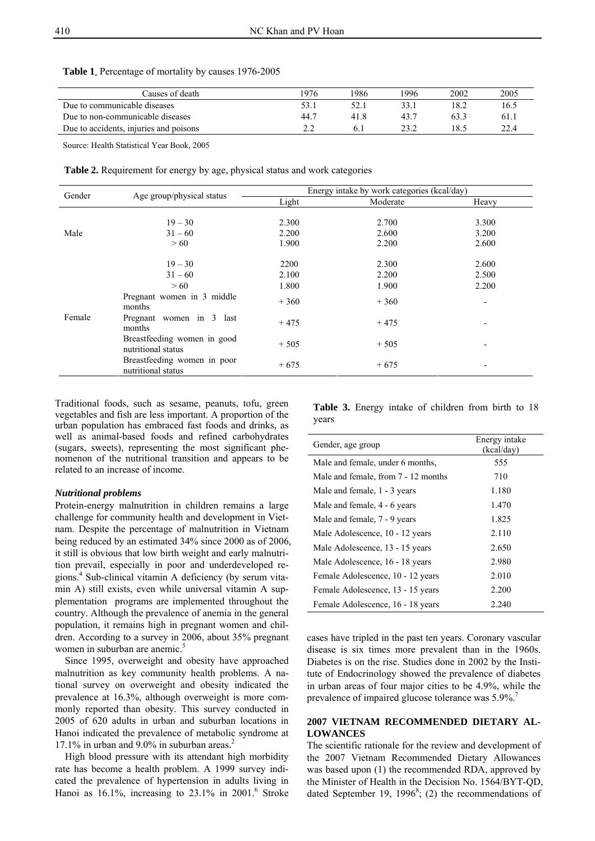| Causes of death                        | 1976  | 1986 | 1996 | 2002 | 2005 |
|----------------------------------------|-------|------|------|------|------|
| Due to communicable diseases           |       |      | 33.1 |      | 16.5 |
| Due to non-communicable diseases       | -44.7 | 418  | 43.1 | 63.3 | 61.  |
| Due to accidents, injuries and poisons |       |      | າາ າ |      | 22.4 |

**Table 1**. Percentage of mortality by causes 1976-2005

Source: Health Statistical Year Book, 2005

**Table 2.** Requirement for energy by age, physical status and work categories

| Gender |                                                   | Energy intake by work categories (kcal/day) |                |                          |  |  |  |  |
|--------|---------------------------------------------------|---------------------------------------------|----------------|--------------------------|--|--|--|--|
|        | Age group/physical status                         | Light                                       | Moderate       | Heavy                    |  |  |  |  |
| Male   | $19 - 30$<br>$31 - 60$                            | 2.300<br>2.200                              | 2.700<br>2.600 | 3.300<br>3.200           |  |  |  |  |
|        | > 60                                              | 1.900                                       | 2.200          | 2.600                    |  |  |  |  |
|        | $19 - 30$                                         | 2200                                        | 2.300          | 2.600                    |  |  |  |  |
|        | $31 - 60$                                         | 2.100                                       | 2.200          | 2.500                    |  |  |  |  |
|        | > 60                                              | 1.800                                       | 1.900          | 2.200                    |  |  |  |  |
|        | Pregnant women in 3 middle<br>months              | $+360$                                      | $+360$         |                          |  |  |  |  |
| Female | Pregnant women in 3 last<br>months                | $+475$                                      | $+475$         |                          |  |  |  |  |
|        | Breastfeeding women in good<br>nutritional status | $+505$                                      | $+505$         |                          |  |  |  |  |
|        | Breastfeeding women in poor<br>nutritional status | $+675$                                      | $+675$         | $\overline{\phantom{a}}$ |  |  |  |  |

Traditional foods, such as sesame, peanuts, tofu, green vegetables and fish are less important. A proportion of the urban population has embraced fast foods and drinks, as well as animal-based foods and refined carbohydrates (sugars, sweets), representing the most significant phenomenon of the nutritional transition and appears to be related to an increase of income.

#### *Nutritional problems*

Protein-energy malnutrition in children remains a large challenge for community health and development in Vietnam. Despite the percentage of malnutrition in Vietnam being reduced by an estimated 34% since 2000 as of 2006, it still is obvious that low birth weight and early malnutrition prevail, especially in poor and underdeveloped regions.<sup>4</sup> Sub-clinical vitamin A deficiency (by serum vitamin A) still exists, even while universal vitamin A supplementation programs are implemented throughout the country. Although the prevalence of anemia in the general population, it remains high in pregnant women and children. According to a survey in 2006, about 35% pregnant women in suburban are anemic.<sup>5</sup>

 Since 1995, overweight and obesity have approached malnutrition as key community health problems. A national survey on overweight and obesity indicated the prevalence at 16.3%, although overweight is more commonly reported than obesity. This survey conducted in 2005 of 620 adults in urban and suburban locations in Hanoi indicated the prevalence of metabolic syndrome at  $17.1\%$  in urban and  $9.0\%$  in suburban areas.<sup>2</sup>

 High blood pressure with its attendant high morbidity rate has become a health problem. A 1999 survey indicated the prevalence of hypertension in adults living in Hanoi as  $16.1\%$ , increasing to  $23.1\%$  in  $2001$ .<sup>6</sup> Stroke

**Table 3.** Energy intake of children from birth to 18 years

| Gender, age group                   | Energy intake<br>(kcal/day) |
|-------------------------------------|-----------------------------|
| Male and female, under 6 months,    | 555                         |
| Male and female, from 7 - 12 months | 710                         |
| Male and female, 1 - 3 years        | 1.180                       |
| Male and female, 4 - 6 years        | 1.470                       |
| Male and female, 7 - 9 years        | 1.825                       |
| Male Adolescence, 10 - 12 years     | 2.110                       |
| Male Adolescence, 13 - 15 years     | 2.650                       |
| Male Adolescence, 16 - 18 years     | 2.980                       |
| Female Adolescence, 10 - 12 years   | 2.010                       |
| Female Adolescence, 13 - 15 years   | 2.200                       |
| Female Adolescence, 16 - 18 years   | 2.240                       |

cases have tripled in the past ten years. Coronary vascular disease is six times more prevalent than in the 1960s. Diabetes is on the rise. Studies done in 2002 by the Institute of Endocrinology showed the prevalence of diabetes in urban areas of four major cities to be 4.9%, while the prevalence of impaired glucose tolerance was 5.9%.<sup>7</sup>

## **2007 VIETNAM RECOMMENDED DIETARY AL-LOWANCES**

The scientific rationale for the review and development of the 2007 Vietnam Recommended Dietary Allowances was based upon (1) the recommended RDA, approved by the Minister of Health in the Decision No. 1564/BYT-QD, dated September 19, 1996<sup>8</sup>; (2) the recommendations of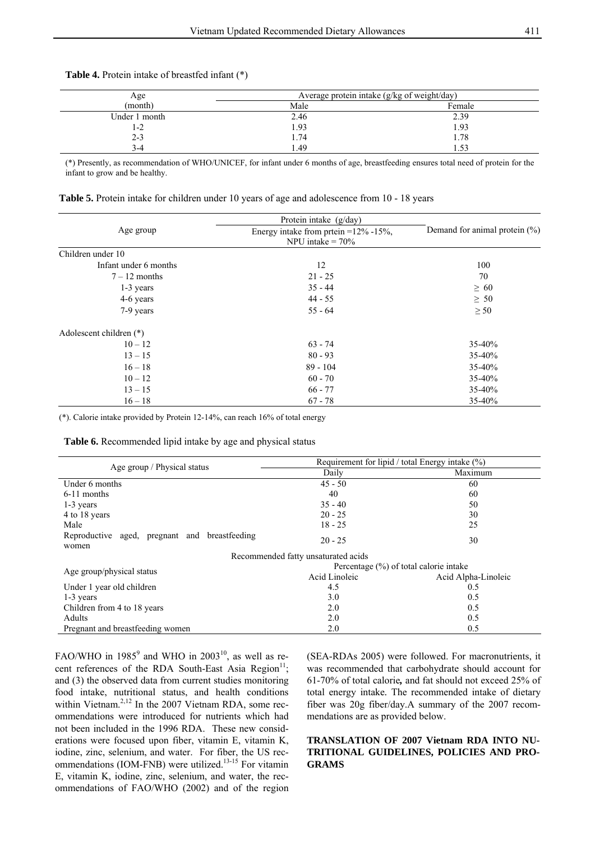|  |  |  | <b>Table 4.</b> Protein intake of breastfed infant (*) |  |  |  |
|--|--|--|--------------------------------------------------------|--|--|--|
|--|--|--|--------------------------------------------------------|--|--|--|

| Age<br>(month) | Average protein intake (g/kg of weight/day) |        |  |  |  |  |
|----------------|---------------------------------------------|--------|--|--|--|--|
|                | Male                                        | Female |  |  |  |  |
| Under 1 month  | 2.46                                        | 2.39   |  |  |  |  |
| -2             | 1.93                                        | 1.93   |  |  |  |  |
| $2 - 3$        | 1.74                                        | 1.78   |  |  |  |  |
| 3-4            | . 49                                        |        |  |  |  |  |

(\*) Presently, as recommendation of WHO/UNICEF, for infant under 6 months of age, breastfeeding ensures total need of protein for the infant to grow and be healthy.

| <b>Table 5.</b> Protein intake for children under 10 years of age and adolescence from 10 - 18 years |  |  |
|------------------------------------------------------------------------------------------------------|--|--|
|------------------------------------------------------------------------------------------------------|--|--|

|                         | Protein intake $(g/day)$                                             |                                   |  |
|-------------------------|----------------------------------------------------------------------|-----------------------------------|--|
| Age group               | Energy intake from prtein = $12\%$ - $15\%$ ,<br>NPU intake $= 70\%$ | Demand for animal protein $(\% )$ |  |
| Children under 10       |                                                                      |                                   |  |
| Infant under 6 months   | 12                                                                   | 100                               |  |
| $7 - 12$ months         | $21 - 25$                                                            | 70                                |  |
| 1-3 years               | $35 - 44$                                                            | $\geq 60$                         |  |
| 4-6 years               | $44 - 55$                                                            | $\geq 50$                         |  |
| 7-9 years               | $55 - 64$                                                            | $\geq 50$                         |  |
| Adolescent children (*) |                                                                      |                                   |  |
| $10 - 12$               | $63 - 74$                                                            | 35-40%                            |  |
| $13 - 15$               | $80 - 93$                                                            | 35-40%                            |  |
| $16 - 18$               | $89 - 104$                                                           | 35-40%                            |  |
| $10 - 12$               | $60 - 70$                                                            | 35-40%                            |  |
| $13 - 15$               | $66 - 77$                                                            | 35-40%                            |  |
| $16 - 18$               | $67 - 78$                                                            | 35-40%                            |  |

(\*). Calorie intake provided by Protein 12-14%, can reach 16% of total energy

**Table 6.** Recommended lipid intake by age and physical status

| Age group / Physical status                            | Requirement for lipid / total Energy intake $(\%)$ |                     |  |  |  |
|--------------------------------------------------------|----------------------------------------------------|---------------------|--|--|--|
|                                                        | Daily                                              | Maximum             |  |  |  |
| Under 6 months                                         | $45 - 50$                                          | 60                  |  |  |  |
| 6-11 months                                            | 40                                                 | 60                  |  |  |  |
| 1-3 years                                              | $35 - 40$                                          | 50                  |  |  |  |
| 4 to 18 years                                          | $20 - 25$                                          | 30                  |  |  |  |
| Male                                                   | $18 - 25$                                          | 25                  |  |  |  |
| Reproductive aged, pregnant and breastfeeding<br>women | $20 - 25$                                          | 30                  |  |  |  |
|                                                        | Recommended fatty unsaturated acids                |                     |  |  |  |
|                                                        | Percentage $(\%)$ of total calorie intake          |                     |  |  |  |
| Age group/physical status                              | Acid Linoleic                                      | Acid Alpha-Linoleic |  |  |  |
| Under 1 year old children                              | 4.5                                                | 0.5                 |  |  |  |
| $1-3$ years                                            | 3.0                                                | 0.5                 |  |  |  |
| Children from 4 to 18 years                            | 2.0                                                | 0.5                 |  |  |  |
| <b>Adults</b>                                          | 2.0                                                | 0.5                 |  |  |  |
| Pregnant and breastfeeding women                       | 2.0                                                | 0.5                 |  |  |  |

FAO/WHO in  $1985^9$  and WHO in  $2003^{10}$ , as well as recent references of the RDA South-East Asia Region $^{11}$ ; and (3) the observed data from current studies monitoring food intake, nutritional status, and health conditions within Vietnam.<sup>2,12</sup> In the 2007 Vietnam RDA, some recommendations were introduced for nutrients which had not been included in the 1996 RDA. These new considerations were focused upon fiber, vitamin E, vitamin K, iodine, zinc, selenium, and water. For fiber, the US recommendations (IOM-FNB) were utilized.<sup>13-15</sup> For vitamin E, vitamin K, iodine, zinc, selenium, and water, the recommendations of FAO/WHO (2002) and of the region

(SEA-RDAs 2005) were followed. For macronutrients, it was recommended that carbohydrate should account for 61-70% of total calorie*,* and fat should not exceed 25% of total energy intake*.* The recommended intake of dietary fiber was 20g fiber/day.A summary of the 2007 recommendations are as provided below.

# **TRANSLATION OF 2007 Vietnam RDA INTO NU-TRITIONAL GUIDELINES, POLICIES AND PRO-GRAMS**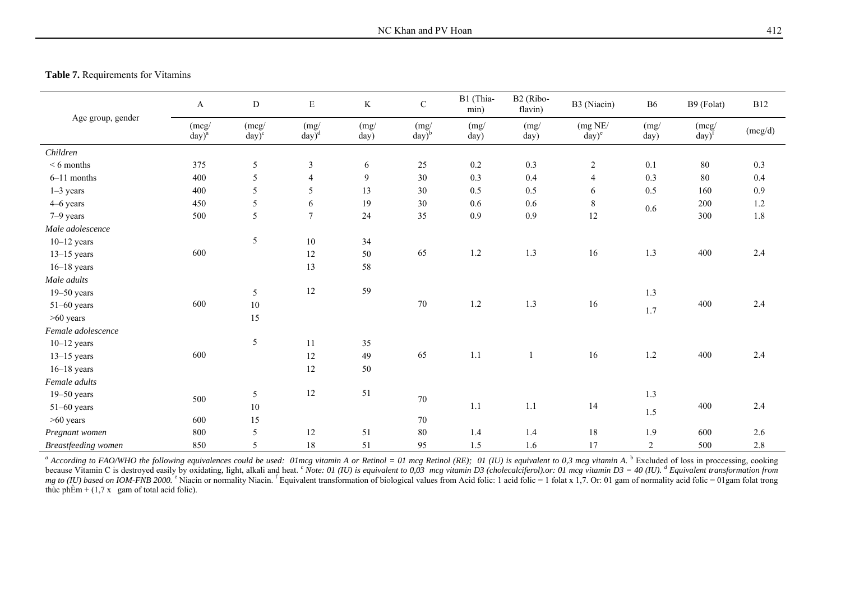# **Table 7.** Requirements for Vitamins

| Age group, gender   | $\mathbf{A}$      | ${\rm D}$         | ${\bf E}$        | $\rm K$        | $\mathbf C$             | B1 (Thia-<br>min) | B2 (Ribo-<br>flavin) | B3 (Niacin)         | <b>B6</b>      | B9 (Folat)                   | <b>B12</b> |
|---------------------|-------------------|-------------------|------------------|----------------|-------------------------|-------------------|----------------------|---------------------|----------------|------------------------------|------------|
|                     | (mcg)<br>$day)^a$ | (mcg)<br>$day)^c$ | (mg)<br>$day)^d$ | (mg)<br>day)   | (mg)<br>$\text{day})^b$ | (mg)<br>day)      | (mg)<br>day)         | (mg NE/<br>$day)^e$ | (mg)<br>day)   | (mcg)<br>$day)$ <sup>f</sup> | (mcg/d)    |
| Children            |                   |                   |                  |                |                         |                   |                      |                     |                |                              |            |
| $< 6$ months        | 375               | 5                 | $\mathfrak{Z}$   | 6              | $25\,$                  | $0.2\,$           | 0.3                  | $\sqrt{2}$          | 0.1            | 80                           | 0.3        |
| $6-11$ months       | 400               | 5                 | $\overline{4}$   | $\overline{9}$ | 30                      | 0.3               | 0.4                  | $\overline{4}$      | 0.3            | 80                           | 0.4        |
| $1-3$ years         | 400               | 5                 | 5                | 13             | 30                      | 0.5               | 0.5                  | 6                   | 0.5            | 160                          | 0.9        |
| 4-6 years           | 450               | 5                 | 6                | 19             | $30\,$                  | 0.6               | 0.6                  | $\,8\,$             | 0.6            | 200                          | $1.2\,$    |
| 7-9 years           | 500               | 5                 | $\overline{7}$   | 24             | 35                      | 0.9               | 0.9                  | 12                  |                | 300                          | 1.8        |
| Male adolescence    |                   |                   |                  |                |                         |                   |                      |                     |                |                              |            |
| $10-12$ years       |                   | 5                 | $10\,$           | 34             |                         |                   |                      |                     |                |                              |            |
| $13-15$ years       | 600               |                   | 12               | 50             | 65                      | $1.2\,$           | 1.3                  | 16                  | 1.3            | 400                          | 2.4        |
| $16-18$ years       |                   |                   | 13               | 58             |                         |                   |                      |                     |                |                              |            |
| Male adults         |                   |                   |                  |                |                         |                   |                      |                     |                |                              |            |
| $19 - 50$ years     |                   | 5                 | 12               | 59             |                         |                   |                      |                     | 1.3            |                              |            |
| $51-60$ years       | 600               | $10\,$            |                  |                | $70\,$                  | $1.2\,$           | $1.3\,$              | 16                  | 1.7            | 400                          | 2.4        |
| $>60$ years         |                   | 15                |                  |                |                         |                   |                      |                     |                |                              |            |
| Female adolescence  |                   |                   |                  |                |                         |                   |                      |                     |                |                              |            |
| $10-12$ years       |                   | 5                 | 11               | 35             |                         |                   |                      |                     |                |                              |            |
| $13-15$ years       | 600               |                   | 12               | 49             | 65                      | $1.1\,$           | $\mathbf{1}$         | 16                  | 1.2            | 400                          | 2.4        |
| $16-18$ years       |                   |                   | 12               | 50             |                         |                   |                      |                     |                |                              |            |
| Female adults       |                   |                   |                  |                |                         |                   |                      |                     |                |                              |            |
| $19 - 50$ years     | 500               | 5                 | 12               | 51             | $70\,$                  |                   |                      |                     | 1.3            |                              |            |
| $51-60$ years       |                   | $10\,$            |                  |                |                         | 1.1               | 1.1                  | 14                  | 1.5            | 400                          | 2.4        |
| $>60$ years         | 600               | 15                |                  |                | $70\,$                  |                   |                      |                     |                |                              |            |
| Pregnant women      | 800               | 5                 | 12               | 51             | $80\,$                  | 1.4               | 1.4                  | 18                  | 1.9            | 600                          | 2.6        |
| Breastfeeding women | 850               | 5                 | 18               | 51             | 95                      | 1.5               | 1.6                  | 17                  | $\overline{2}$ | 500                          | 2.8        |

<sup>a</sup> According to FAO/WHO the following equivalences could be used: Olmcg vitamin A or Retinol = 01 mcg Retinol (RE); 01 (IU) is equivalent to 0,3 mcg vitamin A. <sup>b</sup> Excluded of loss in proccessing, cooking because Vitamin C is destroyed easily by oxidating, light, alkali and heat. C Note: 01 (IU) is equivalent to 0.03 mcg vitamin D3 (cholecalciferol) or: 01 mcg vitamin D3 = 40 (IU). <sup>d</sup> Equivalent transformation from mg to (IU) based on IOM-FNB 2000. "Niacin or normality Niacin." Equivalent transformation of biological values from Acid folic: 1 acid folic = 1 folat x 1,7. Or: 01 gam of normality acid folic = 01 gam folat trong thùc phÈm +  $(1,7 \times)$  gam of total acid folic).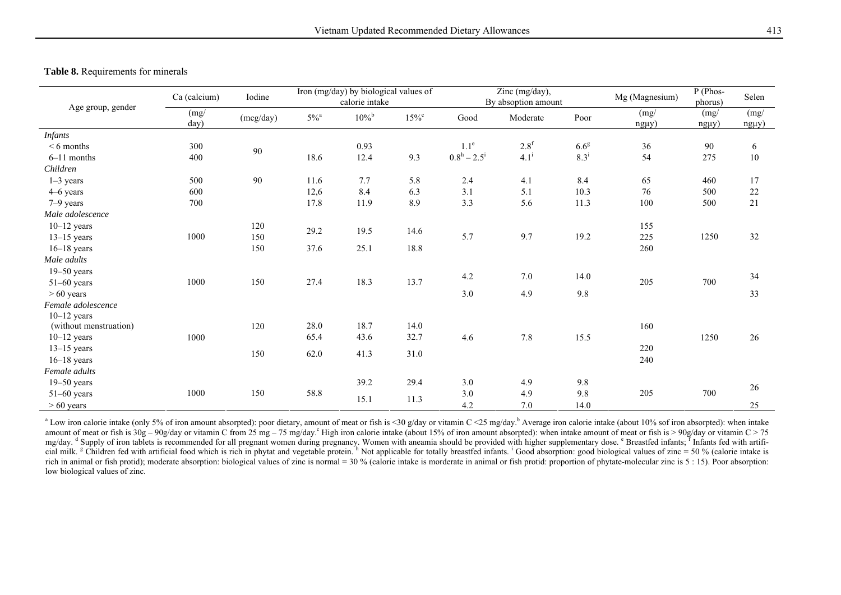# **Table 8.** Requirements for minerals

| Age group, gender<br><i>Infants</i><br>$< 6$ months<br>$6-11$ months<br>Children<br>$1-3$ years<br>4–6 years<br>7-9 years<br>Male adolescence<br>$10-12$ years | Ca (calcium) | Iodine    | Iron (mg/day) by biological values of<br>calorie intake |                     |                | Zinc (mg/day),<br>By absoption amount |                  |                  | Mg (Magnesium)     | $P$ (Phos-<br>phorus) | Selen              |
|----------------------------------------------------------------------------------------------------------------------------------------------------------------|--------------|-----------|---------------------------------------------------------|---------------------|----------------|---------------------------------------|------------------|------------------|--------------------|-----------------------|--------------------|
|                                                                                                                                                                | (mg)<br>day) | (mcg/day) | $5\%^{\textrm{a}}$                                      | $10\%$ <sup>b</sup> | $15\%^{\circ}$ | Good                                  | Moderate         | Poor             | (mg)<br>$ng\mu y)$ | (mg)<br>$ng\mu y)$    | (mg)<br>$ng\mu y)$ |
|                                                                                                                                                                |              |           |                                                         |                     |                |                                       |                  |                  |                    |                       |                    |
|                                                                                                                                                                | 300          | 90        |                                                         | 0.93                |                | $1.1^e$                               | 2.8 <sup>f</sup> | 6.6 <sup>g</sup> | 36                 | 90                    | 6                  |
|                                                                                                                                                                | 400          |           | 18.6                                                    | 12.4                | 9.3            | $0.8^{\rm h} - 2.5^{\rm i}$           | $4.1^{i}$        | $8.3^{i}$        | 54                 | 275                   | 10                 |
|                                                                                                                                                                |              |           |                                                         |                     |                |                                       |                  |                  |                    |                       |                    |
|                                                                                                                                                                | 500          | 90        | 11.6                                                    | 7.7                 | 5.8            | 2.4                                   | 4.1              | 8.4              | 65                 | 460                   | 17                 |
|                                                                                                                                                                | 600          |           | 12,6                                                    | 8.4                 | 6.3            | 3.1                                   | 5.1              | 10.3             | 76                 | 500                   | 22                 |
|                                                                                                                                                                | 700          |           | 17.8                                                    | 11.9                | 8.9            | 3.3                                   | 5.6              | 11.3             | 100                | 500                   | 21                 |
|                                                                                                                                                                |              |           |                                                         |                     |                |                                       |                  |                  |                    |                       |                    |
|                                                                                                                                                                |              | 120       | 29.2                                                    | 19.5                | 14.6           |                                       |                  |                  | 155                |                       |                    |
| $13-15$ years                                                                                                                                                  | 1000         | 150       |                                                         |                     |                | 5.7                                   | 9.7              | 19.2             | 225                | 1250                  | 32                 |
| $16-18$ years                                                                                                                                                  |              | 150       | 37.6                                                    | 25.1                | 18.8           |                                       |                  |                  | 260                |                       |                    |
| Male adults                                                                                                                                                    |              |           |                                                         |                     |                |                                       |                  |                  |                    |                       |                    |
| $19 - 50$ years                                                                                                                                                |              |           |                                                         |                     |                | 4.2                                   | 7.0              | 14.0             |                    |                       | 34                 |
| $51-60$ years                                                                                                                                                  | 1000         | 150       | 27.4                                                    | 18.3                | 13.7           |                                       |                  |                  | 205                | 700                   |                    |
| $> 60$ years                                                                                                                                                   |              |           |                                                         |                     |                | 3.0                                   | 4.9              | 9.8              |                    |                       | 33                 |
| Female adolescence                                                                                                                                             |              |           |                                                         |                     |                |                                       |                  |                  |                    |                       |                    |
| $10-12$ years                                                                                                                                                  |              |           |                                                         |                     |                |                                       |                  |                  |                    |                       |                    |
| (without menstruation)                                                                                                                                         |              | 120       | 28.0                                                    | 18.7                | 14.0           |                                       |                  |                  | 160                |                       |                    |
| $10-12$ years                                                                                                                                                  | 1000         |           | 65.4                                                    | 43.6                | 32.7           | 4.6                                   | 7.8              | 15.5             |                    | 1250                  | 26                 |
| $13-15$ years                                                                                                                                                  |              | 150       | 62.0                                                    | 41.3                | 31.0           |                                       |                  |                  | 220                |                       |                    |
| $16-18$ years                                                                                                                                                  |              |           |                                                         |                     |                |                                       |                  |                  | 240                |                       |                    |
| Female adults                                                                                                                                                  |              |           |                                                         |                     |                |                                       |                  |                  |                    |                       |                    |
| $19 - 50$ years                                                                                                                                                |              |           |                                                         | 39.2                | 29.4           | 3.0                                   | 4.9              | 9.8              |                    |                       | 26                 |
| $51-60$ years                                                                                                                                                  | 1000         | 150       | 58.8                                                    | 15.1                | 11.3           | 3.0                                   | 4.9              | 9.8              | 205                | 700                   |                    |
| $> 60$ years                                                                                                                                                   |              |           |                                                         |                     |                | 4.2                                   | 7.0              | 14.0             |                    |                       | 25                 |

<sup>a</sup> Low iron calorie intake (only 5% of iron amount absorpted): poor dietary, amount of meat or fish is <30 g/day or vitamin C <25 mg/day.<sup>b</sup> Average iron calorie intake (about 10% sof iron absorpted): when intake amount of meat or fish is  $30g - 90g/day$  or vitamin C from  $25 mg - 75 mg/day$ . High iron calorie intake (about 15% of iron amount absorpted): when intake amount of meat or fish is  $> 90g/day$  or vitamin C  $> 75$ mg/day. <sup>d</sup> Supply of iron tablets is recommended for all pregnant women during pregnancy. Women with aneamia should be provided with higher supplementary dose. <sup>e</sup> Breastfed infants; <sup>F</sup> Infants fed with artificial milk. <sup>g</sup> Children fed with artificial food which is rich in phytat and vegetable protein. <sup>h</sup> Not applicable for totally breastfed infants. <sup>1</sup> Good absorption: good biological values of zinc = 50 % (calorie intake rich in animal or fish protid); moderate absorption: biological values of zinc is normal = 30 % (calorie intake is morderate in animal or fish protid: proportion of phytate-molecular zinc is 5 : 15). Poor absorption: low biological values of zinc.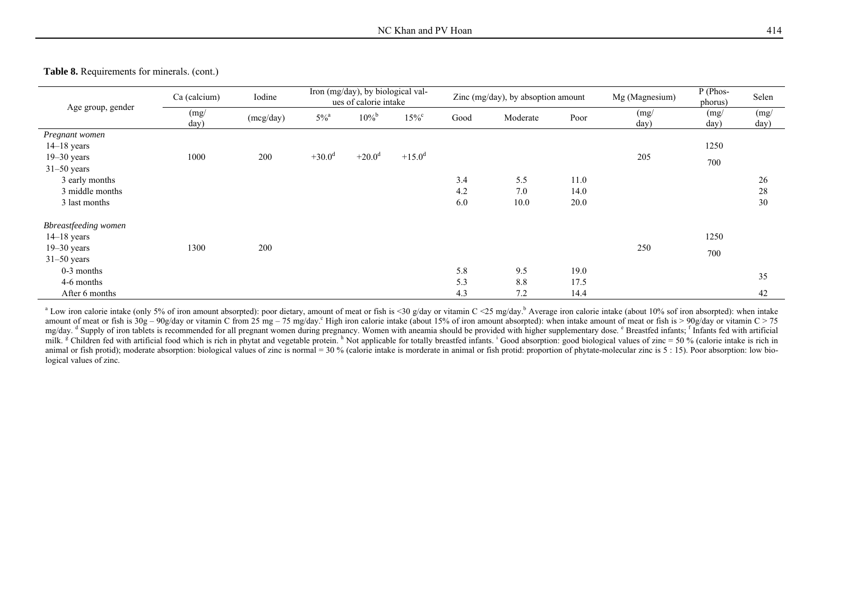**Table 8.** Requirements for minerals. (cont.)

|                             | Ca (calcium) | Iodine    | Iron (mg/day), by biological val-<br>ues of calorie intake |                |           |      | Zinc (mg/day), by absoption amount |      | Mg (Magnesium) | P (Phos-<br>phorus) | Selen        |
|-----------------------------|--------------|-----------|------------------------------------------------------------|----------------|-----------|------|------------------------------------|------|----------------|---------------------|--------------|
| Age group, gender           | (mg/<br>day) | (mcg/day) | $5\%$ <sup>a</sup>                                         | $10\%^{\rm b}$ | $15\%$    | Good | Moderate                           | Poor | (mg)<br>day)   | (mg)<br>day)        | (mg)<br>day) |
| Pregnant women              |              |           |                                                            |                |           |      |                                    |      |                |                     |              |
| $14-18$ years               |              |           |                                                            |                |           |      |                                    |      |                | 1250                |              |
| $19 - 30$ years             | 1000         | 200       | $+30.0^d$                                                  | $+20.0^d$      | $+15.0^d$ |      |                                    |      | 205            | 700                 |              |
| $31-50$ years               |              |           |                                                            |                |           |      |                                    |      |                |                     |              |
| 3 early months              |              |           |                                                            |                |           | 3.4  | 5.5                                | 11.0 |                |                     | 26           |
| 3 middle months             |              |           |                                                            |                |           | 4.2  | 7.0                                | 14.0 |                |                     | 28           |
| 3 last months               |              |           |                                                            |                |           | 6.0  | 10.0                               | 20.0 |                |                     | 30           |
| <b>Bbreastfeeding women</b> |              |           |                                                            |                |           |      |                                    |      |                |                     |              |
| $14-18$ years               |              |           |                                                            |                |           |      |                                    |      |                | 1250                |              |
| $19 - 30$ years             | 1300         | 200       |                                                            |                |           |      |                                    |      | 250            | 700                 |              |
| $31-50$ years               |              |           |                                                            |                |           |      |                                    |      |                |                     |              |
| $0-3$ months                |              |           |                                                            |                |           | 5.8  | 9.5                                | 19.0 |                |                     |              |
| 4-6 months                  |              |           |                                                            |                |           | 5.3  | 8.8                                | 17.5 |                |                     | 35           |
| After 6 months              |              |           |                                                            |                |           | 4.3  | 7.2                                | 14.4 |                |                     | 42           |

<sup>a</sup> Low iron calorie intake (only 5% of iron amount absorpted): poor dietary, amount of meat or fish is <30 g/day or vitamin C <25 mg/day.<sup>b</sup> Average iron calorie intake (about 10% sof iron absorpted): when intake amount of meat or fish is  $30g - 90g/day$  or vitamin C from 25 mg – 75 mg/day. High iron calorie intake (about 15% of iron amount absorpted): when intake amount of meat or fish is > 90g/day or vitamin C > 75 mg/day. <sup>d</sup> Supply of iron tablets is recommended for all pregnant women during pregnancy. Women with aneamia should be provided with higher supplementary dose. <sup>e</sup> Breastfed infants; <sup>f</sup> Infants fed with artificial milk. <sup>g</sup> Children fed with artificial food which is rich in phytat and vegetable protein. <sup>h</sup> Not applicable for totally breastfed infants. <sup>1</sup> Good absorption: good biological values of zinc = 50 % (calorie intake is ri animal or fish protid); moderate absorption: biological values of zinc is normal = 30 % (calorie intake is morderate in animal or fish protid: proportion of phytate-molecular zinc is 5 : 15). Poor absorption: low biological values of zinc.